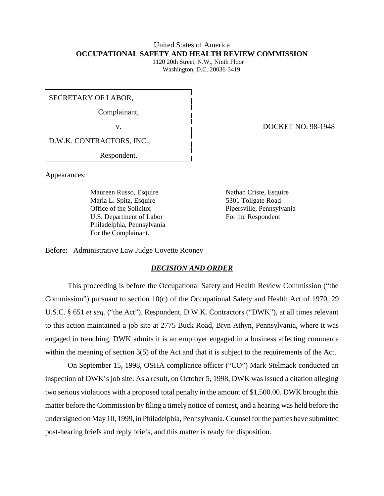# United States of America **OCCUPATIONAL SAFETY AND HEALTH REVIEW COMMISSION**

 1120 20th Street, N.W., Ninth Floor Washington, D.C. 20036-3419

SECRETARY OF LABOR,

Complainant,

D.W.K. CONTRACTORS, INC.,

Respondent.

Appearances:

Maureen Russo, Esquire Nathan Criste, Esquire Maria L. Spitz, Esquire 5301 Tollgate Road Office of the Solicitor Pipersville, Pennsylvania U.S. Department of Labor For the Respondent Philadelphia, Pennsylvania For the Complainant.

v. **DOCKET NO. 98-1948** 

Before: Administrative Law Judge Covette Rooney

## *DECISION AND ORDER*

This proceeding is before the Occupational Safety and Health Review Commission ("the Commission") pursuant to section 10(c) of the Occupational Safety and Health Act of 1970, 29 U.S.C. § 651 *et seq.* ("the Act"). Respondent, D.W.K. Contractors ("DWK"), at all times relevant to this action maintained a job site at 2775 Buck Road, Bryn Athyn, Pennsylvania, where it was engaged in trenching. DWK admits it is an employer engaged in a business affecting commerce within the meaning of section 3(5) of the Act and that it is subject to the requirements of the Act.

On September 15, 1998, OSHA compliance officer ("CO") Mark Stelmack conducted an inspection of DWK's job site. As a result, on October 5, 1998, DWK was issued a citation alleging two serious violations with a proposed total penalty in the amount of \$1,500.00. DWK brought this matter before the Commission by filing a timely notice of contest, and a hearing was held before the undersigned on May 10, 1999, in Philadelphia, Pennsylvania. Counsel for the parties have submitted post-hearing briefs and reply briefs, and this matter is ready for disposition.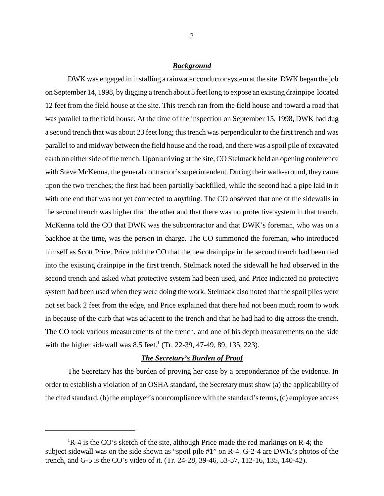### *Background*

DWK was engaged in installing a rainwater conductor system at the site. DWK began the job on September 14, 1998, by digging a trench about 5 feet long to expose an existing drainpipe located 12 feet from the field house at the site. This trench ran from the field house and toward a road that was parallel to the field house. At the time of the inspection on September 15, 1998, DWK had dug a second trench that was about 23 feet long; this trench was perpendicular to the first trench and was parallel to and midway between the field house and the road, and there was a spoil pile of excavated earth on either side of the trench. Upon arriving at the site, CO Stelmack held an opening conference with Steve McKenna, the general contractor's superintendent. During their walk-around, they came upon the two trenches; the first had been partially backfilled, while the second had a pipe laid in it with one end that was not yet connected to anything. The CO observed that one of the sidewalls in the second trench was higher than the other and that there was no protective system in that trench. McKenna told the CO that DWK was the subcontractor and that DWK's foreman, who was on a backhoe at the time, was the person in charge. The CO summoned the foreman, who introduced himself as Scott Price. Price told the CO that the new drainpipe in the second trench had been tied into the existing drainpipe in the first trench. Stelmack noted the sidewall he had observed in the second trench and asked what protective system had been used, and Price indicated no protective system had been used when they were doing the work. Stelmack also noted that the spoil piles were not set back 2 feet from the edge, and Price explained that there had not been much room to work in because of the curb that was adjacent to the trench and that he had had to dig across the trench. The CO took various measurements of the trench, and one of his depth measurements on the side with the higher sidewall was  $8.5$  feet.<sup>1</sup> (Tr. 22-39, 47-49, 89, 135, 223).

# *The Secretary's Burden of Proof*

The Secretary has the burden of proving her case by a preponderance of the evidence. In order to establish a violation of an OSHA standard, the Secretary must show (a) the applicability of the cited standard, (b) the employer's noncompliance with the standard's terms, (c) employee access

<sup>&</sup>lt;sup>1</sup>R-4 is the CO's sketch of the site, although Price made the red markings on R-4; the subject sidewall was on the side shown as "spoil pile #1" on R-4. G-2-4 are DWK's photos of the trench, and G-5 is the CO's video of it. (Tr. 24-28, 39-46, 53-57, 112-16, 135, 140-42).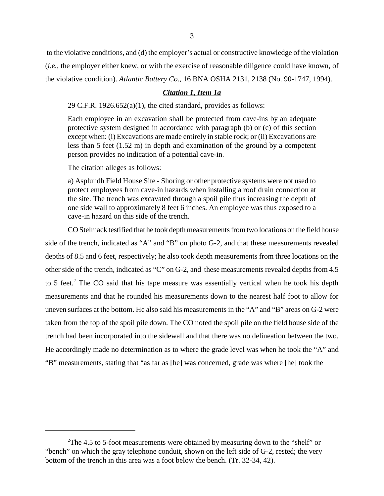to the violative conditions, and (d) the employer's actual or constructive knowledge of the violation (*i.e.*, the employer either knew, or with the exercise of reasonable diligence could have known, of the violative condition). *Atlantic Battery Co.*, 16 BNA OSHA 2131, 2138 (No. 90-1747, 1994).

# *Citation 1, Item 1a*

29 C.F.R. 1926.652(a)(1), the cited standard, provides as follows:

Each employee in an excavation shall be protected from cave-ins by an adequate protective system designed in accordance with paragraph (b) or (c) of this section except when: (i) Excavations are made entirely in stable rock; or (ii) Excavations are less than 5 feet (1.52 m) in depth and examination of the ground by a competent person provides no indication of a potential cave-in.

The citation alleges as follows:

a) Asplundh Field House Site - Shoring or other protective systems were not used to protect employees from cave-in hazards when installing a roof drain connection at the site. The trench was excavated through a spoil pile thus increasing the depth of one side wall to approximately 8 feet 6 inches. An employee was thus exposed to a cave-in hazard on this side of the trench.

CO Stelmack testified that he took depth measurements from two locations on the field house side of the trench, indicated as "A" and "B" on photo G-2, and that these measurements revealed depths of 8.5 and 6 feet, respectively; he also took depth measurements from three locations on the other side of the trench, indicated as "C" on G-2, and these measurements revealed depths from 4.5 to 5 feet.<sup>2</sup> The CO said that his tape measure was essentially vertical when he took his depth measurements and that he rounded his measurements down to the nearest half foot to allow for uneven surfaces at the bottom. He also said his measurements in the "A" and "B" areas on G-2 were taken from the top of the spoil pile down. The CO noted the spoil pile on the field house side of the trench had been incorporated into the sidewall and that there was no delineation between the two. He accordingly made no determination as to where the grade level was when he took the "A" and "B" measurements, stating that "as far as [he] was concerned, grade was where [he] took the

<sup>&</sup>lt;sup>2</sup>The 4.5 to 5-foot measurements were obtained by measuring down to the "shelf" or "bench" on which the gray telephone conduit, shown on the left side of G-2, rested; the very bottom of the trench in this area was a foot below the bench. (Tr. 32-34, 42).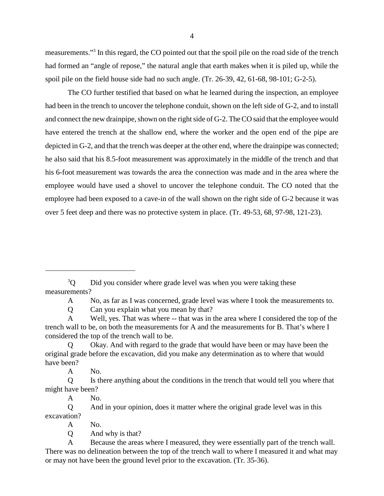measurements."<sup>3</sup> In this regard, the CO pointed out that the spoil pile on the road side of the trench had formed an "angle of repose," the natural angle that earth makes when it is piled up, while the spoil pile on the field house side had no such angle. (Tr. 26-39, 42, 61-68, 98-101; G-2-5).

The CO further testified that based on what he learned during the inspection, an employee had been in the trench to uncover the telephone conduit, shown on the left side of G-2, and to install and connect the new drainpipe, shown on the right side of G-2. The CO said that the employee would have entered the trench at the shallow end, where the worker and the open end of the pipe are depicted in G-2, and that the trench was deeper at the other end, where the drainpipe was connected; he also said that his 8.5-foot measurement was approximately in the middle of the trench and that his 6-foot measurement was towards the area the connection was made and in the area where the employee would have used a shovel to uncover the telephone conduit. The CO noted that the employee had been exposed to a cave-in of the wall shown on the right side of G-2 because it was over 5 feet deep and there was no protective system in place. (Tr. 49-53, 68, 97-98, 121-23).

 $3^3$ O Did you consider where grade level was when you were taking these measurements?

A No, as far as I was concerned, grade level was where I took the measurements to.

Q Can you explain what you mean by that?

A Well, yes. That was where -- that was in the area where I considered the top of the trench wall to be, on both the measurements for A and the measurements for B. That's where I considered the top of the trench wall to be.

Q Okay. And with regard to the grade that would have been or may have been the original grade before the excavation, did you make any determination as to where that would have been?

A No.

Q Is there anything about the conditions in the trench that would tell you where that might have been?

A No.

Q And in your opinion, does it matter where the original grade level was in this excavation?

A No.

Q And why is that?

A Because the areas where I measured, they were essentially part of the trench wall. There was no delineation between the top of the trench wall to where I measured it and what may or may not have been the ground level prior to the excavation. (Tr. 35-36).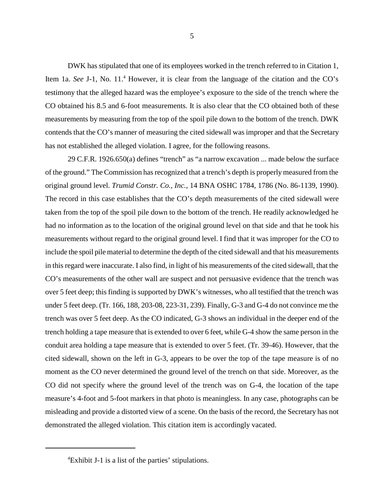DWK has stipulated that one of its employees worked in the trench referred to in Citation 1, Item 1a. See J-1, No. 11.<sup>4</sup> However, it is clear from the language of the citation and the CO's testimony that the alleged hazard was the employee's exposure to the side of the trench where the CO obtained his 8.5 and 6-foot measurements. It is also clear that the CO obtained both of these measurements by measuring from the top of the spoil pile down to the bottom of the trench. DWK contends that the CO's manner of measuring the cited sidewall was improper and that the Secretary has not established the alleged violation. I agree, for the following reasons.

29 C.F.R. 1926.650(a) defines "trench" as "a narrow excavation ... made below the surface of the ground." The Commission has recognized that a trench's depth is properly measured from the original ground level. *Trumid Constr. Co., Inc.*, 14 BNA OSHC 1784, 1786 (No. 86-1139, 1990). The record in this case establishes that the CO's depth measurements of the cited sidewall were taken from the top of the spoil pile down to the bottom of the trench. He readily acknowledged he had no information as to the location of the original ground level on that side and that he took his measurements without regard to the original ground level. I find that it was improper for the CO to include the spoil pile material to determine the depth of the cited sidewall and that his measurements in this regard were inaccurate. I also find, in light of his measurements of the cited sidewall, that the CO's measurements of the other wall are suspect and not persuasive evidence that the trench was over 5 feet deep; this finding is supported by DWK's witnesses, who all testified that the trench was under 5 feet deep. (Tr. 166, 188, 203-08, 223-31, 239). Finally, G-3 and G-4 do not convince me the trench was over 5 feet deep. As the CO indicated, G-3 shows an individual in the deeper end of the trench holding a tape measure that is extended to over 6 feet, while G-4 show the same person in the conduit area holding a tape measure that is extended to over 5 feet. (Tr. 39-46). However, that the cited sidewall, shown on the left in G-3, appears to be over the top of the tape measure is of no moment as the CO never determined the ground level of the trench on that side. Moreover, as the CO did not specify where the ground level of the trench was on G-4, the location of the tape measure's 4-foot and 5-foot markers in that photo is meaningless. In any case, photographs can be misleading and provide a distorted view of a scene. On the basis of the record, the Secretary has not demonstrated the alleged violation. This citation item is accordingly vacated.

<sup>4</sup> Exhibit J-1 is a list of the parties' stipulations.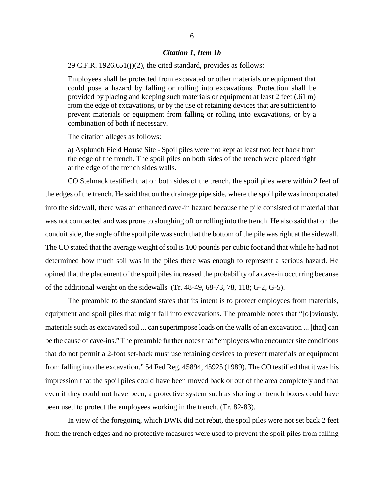### *Citation 1, Item 1b*

29 C.F.R.  $1926.651(i)(2)$ , the cited standard, provides as follows:

Employees shall be protected from excavated or other materials or equipment that could pose a hazard by falling or rolling into excavations. Protection shall be provided by placing and keeping such materials or equipment at least 2 feet (.61 m) from the edge of excavations, or by the use of retaining devices that are sufficient to prevent materials or equipment from falling or rolling into excavations, or by a combination of both if necessary.

The citation alleges as follows:

a) Asplundh Field House Site - Spoil piles were not kept at least two feet back from the edge of the trench. The spoil piles on both sides of the trench were placed right at the edge of the trench sides walls.

CO Stelmack testified that on both sides of the trench, the spoil piles were within 2 feet of the edges of the trench. He said that on the drainage pipe side, where the spoil pile was incorporated into the sidewall, there was an enhanced cave-in hazard because the pile consisted of material that was not compacted and was prone to sloughing off or rolling into the trench. He also said that on the conduit side, the angle of the spoil pile was such that the bottom of the pile was right at the sidewall. The CO stated that the average weight of soil is 100 pounds per cubic foot and that while he had not determined how much soil was in the piles there was enough to represent a serious hazard. He opined that the placement of the spoil piles increased the probability of a cave-in occurring because of the additional weight on the sidewalls. (Tr. 48-49, 68-73, 78, 118; G-2, G-5).

The preamble to the standard states that its intent is to protect employees from materials, equipment and spoil piles that might fall into excavations. The preamble notes that "[o]bviously, materials such as excavated soil ... can superimpose loads on the walls of an excavation ... [that] can be the cause of cave-ins." The preamble further notes that "employers who encounter site conditions that do not permit a 2-foot set-back must use retaining devices to prevent materials or equipment from falling into the excavation." 54 Fed Reg. 45894, 45925 (1989). The CO testified that it was his impression that the spoil piles could have been moved back or out of the area completely and that even if they could not have been, a protective system such as shoring or trench boxes could have been used to protect the employees working in the trench. (Tr. 82-83).

In view of the foregoing, which DWK did not rebut, the spoil piles were not set back 2 feet from the trench edges and no protective measures were used to prevent the spoil piles from falling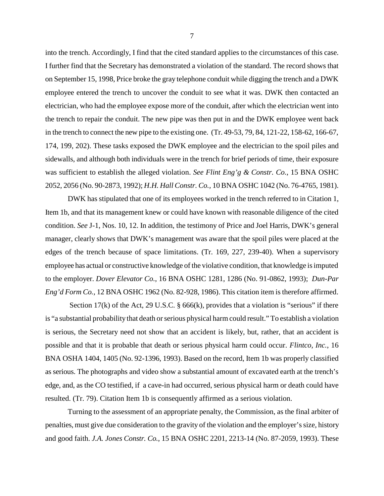into the trench. Accordingly, I find that the cited standard applies to the circumstances of this case. I further find that the Secretary has demonstrated a violation of the standard. The record shows that on September 15, 1998, Price broke the gray telephone conduit while digging the trench and a DWK employee entered the trench to uncover the conduit to see what it was. DWK then contacted an electrician, who had the employee expose more of the conduit, after which the electrician went into the trench to repair the conduit. The new pipe was then put in and the DWK employee went back in the trench to connect the new pipe to the existing one. (Tr. 49-53, 79, 84, 121-22, 158-62, 166-67, 174, 199, 202). These tasks exposed the DWK employee and the electrician to the spoil piles and sidewalls, and although both individuals were in the trench for brief periods of time, their exposure was sufficient to establish the alleged violation. *See Flint Eng'g & Constr. Co.*, 15 BNA OSHC 2052, 2056 (No. 90-2873, 1992); *H.H. Hall Constr. Co.,* 10 BNA OSHC 1042 (No. 76-4765, 1981).

DWK has stipulated that one of its employees worked in the trench referred to in Citation 1, Item 1b, and that its management knew or could have known with reasonable diligence of the cited condition. *See* J-1, Nos. 10, 12. In addition, the testimony of Price and Joel Harris, DWK's general manager, clearly shows that DWK's management was aware that the spoil piles were placed at the edges of the trench because of space limitations. (Tr. 169, 227, 239-40). When a supervisory employee has actual or constructive knowledge of the violative condition, that knowledge is imputed to the employer. *Dover Elevator Co.*, 16 BNA OSHC 1281, 1286 (No. 91-0862, 1993); *Dun-Par Eng'd Form Co.*, 12 BNA OSHC 1962 (No. 82-928, 1986). This citation item is therefore affirmed.

Section 17(k) of the Act, 29 U.S.C.  $\S$  666(k), provides that a violation is "serious" if there is "a substantial probability that death or serious physical harm could result." To establish a violation is serious, the Secretary need not show that an accident is likely, but, rather, that an accident is possible and that it is probable that death or serious physical harm could occur. *Flintco, Inc.*, 16 BNA OSHA 1404, 1405 (No. 92-1396, 1993). Based on the record, Item 1b was properly classified as serious. The photographs and video show a substantial amount of excavated earth at the trench's edge, and, as the CO testified, if a cave-in had occurred, serious physical harm or death could have resulted. (Tr. 79). Citation Item 1b is consequently affirmed as a serious violation.

Turning to the assessment of an appropriate penalty, the Commission, as the final arbiter of penalties, must give due consideration to the gravity of the violation and the employer's size, history and good faith. *J.A. Jones Constr. Co.*, 15 BNA OSHC 2201, 2213-14 (No. 87-2059, 1993). These